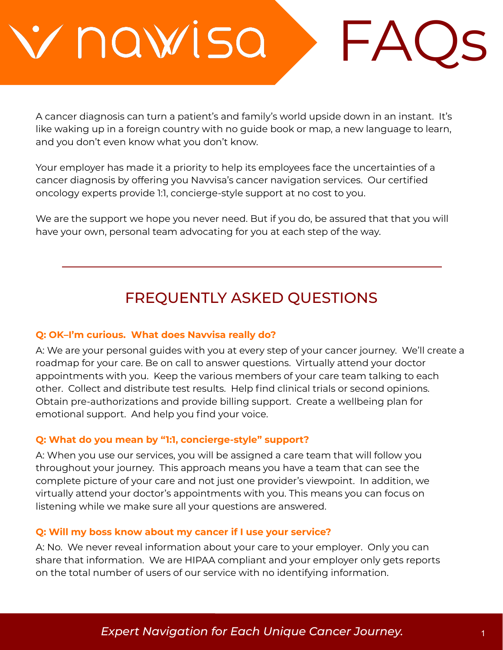nawisa

A cancer diagnosis can turn a patient's and family's world upside down in an instant. It's like waking up in a foreign country with no guide book or map, a new language to learn, and you don't even know what you don't know.

 $\mathsf{F}\mathsf{A}$ 

Your employer has made it a priority to help its employees face the uncertainties of a cancer diagnosis by offering you Navvisa's cancer navigation services. Our certified oncology experts provide 1:1, concierge-style support at no cost to you.

We are the support we hope you never need. But if you do, be assured that that you will have your own, personal team advocating for you at each step of the way.

# FREQUENTLY ASKED QUESTIONS

#### **Q: OK–I'm curious. What does Navvisa really do?**

A: We are your personal guides with you at every step of your cancer journey. We'll create a roadmap for your care. Be on call to answer questions. Virtually attend your doctor appointments with you. Keep the various members of your care team talking to each other. Collect and distribute test results. Help find clinical trials or second opinions. Obtain pre-authorizations and provide billing support. Create a wellbeing plan for emotional support. And help you find your voice.

#### **Q: What do you mean by "1:1, concierge-style" support?**

A: When you use our services, you will be assigned a care team that will follow you throughout your journey. This approach means you have a team that can see the complete picture of your care and not just one provider's viewpoint. In addition, we virtually attend your doctor's appointments with you. This means you can focus on listening while we make sure all your questions are answered.

#### **Q: Will my boss know about my cancer if I use your service?**

A: No. We never reveal information about your care to your employer. Only you can share that information. We are HIPAA compliant and your employer only gets reports on the total number of users of our service with no identifying information.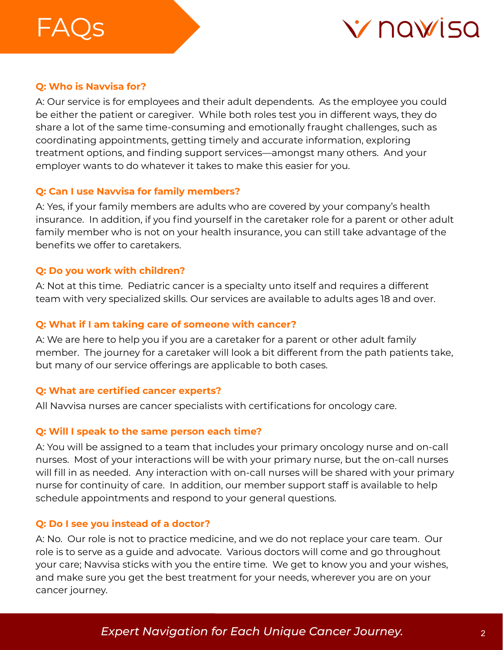# $- A$   $\cup$   $\subset$



# **Q: Who is Navvisa for?**

A: Our service is for employees and their adult dependents. As the employee you could be either the patient or caregiver. While both roles test you in different ways, they do share a lot of the same time-consuming and emotionally fraught challenges, such as coordinating appointments, getting timely and accurate information, exploring treatment options, and finding support services—amongst many others. And your employer wants to do whatever it takes to make this easier for you.

# **Q: Can I use Navvisa for family members?**

A: Yes, if your family members are adults who are covered by your company's health insurance. In addition, if you find yourself in the caretaker role for a parent or other adult family member who is not on your health insurance, you can still take advantage of the benefits we offer to caretakers.

# **Q: Do you work with children?**

A: Not at this time. Pediatric cancer is a specialty unto itself and requires a different team with very specialized skills. Our services are available to adults ages 18 and over.

# **Q: What if I am taking care of someone with cancer?**

A: We are here to help you if you are a caretaker for a parent or other adult family member. The journey for a caretaker will look a bit different from the path patients take, but many of our service offerings are applicable to both cases.

# **Q: What are certified cancer experts?**

All Navvisa nurses are cancer specialists with certifications for oncology care.

# **Q: Will I speak to the same person each time?**

A: You will be assigned to a team that includes your primary oncology nurse and on-call nurses. Most of your interactions will be with your primary nurse, but the on-call nurses will fill in as needed. Any interaction with on-call nurses will be shared with your primary nurse for continuity of care. In addition, our member support staff is available to help schedule appointments and respond to your general questions.

# **Q: Do I see you instead of a doctor?**

A: No. Our role is not to practice medicine, and we do not replace your care team. Our role is to serve as a guide and advocate. Various doctors will come and go throughout your care; Navvisa sticks with you the entire time. We get to know you and your wishes, and make sure you get the best treatment for your needs, wherever you are on your cancer journey.